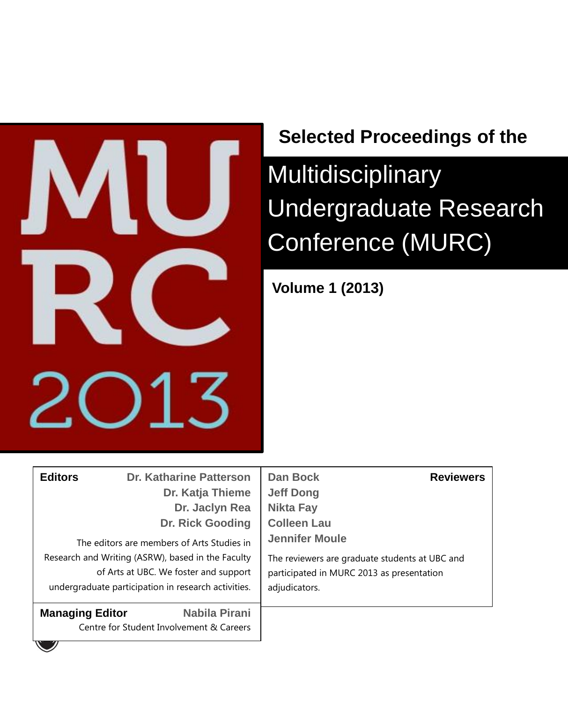

## **Selected Proceedings of the**

Multidisciplinary Undergraduate Research Conference (MURC)

**Volume 1 (2013)**

| <b>Editors</b>         | <b>Dr. Katharine Patterson</b><br>Dr. Katja Thieme<br>Dr. Jaclyn Rea<br><b>Dr. Rick Gooding</b><br>The editors are members of Arts Studies in<br>Research and Writing (ASRW), based in the Faculty<br>of Arts at UBC. We foster and support<br>undergraduate participation in research activities. | <b>Dan Bock</b><br><b>Reviewers</b><br><b>Jeff Dong</b><br><b>Nikta Fay</b><br><b>Colleen Lau</b><br><b>Jennifer Moule</b><br>The reviewers are graduate students at UBC and<br>participated in MURC 2013 as presentation<br>adjudicators. |
|------------------------|----------------------------------------------------------------------------------------------------------------------------------------------------------------------------------------------------------------------------------------------------------------------------------------------------|--------------------------------------------------------------------------------------------------------------------------------------------------------------------------------------------------------------------------------------------|
| <b>Managing Editor</b> | Nabila Pirani<br>Centre for Student Involvement & Careers                                                                                                                                                                                                                                          |                                                                                                                                                                                                                                            |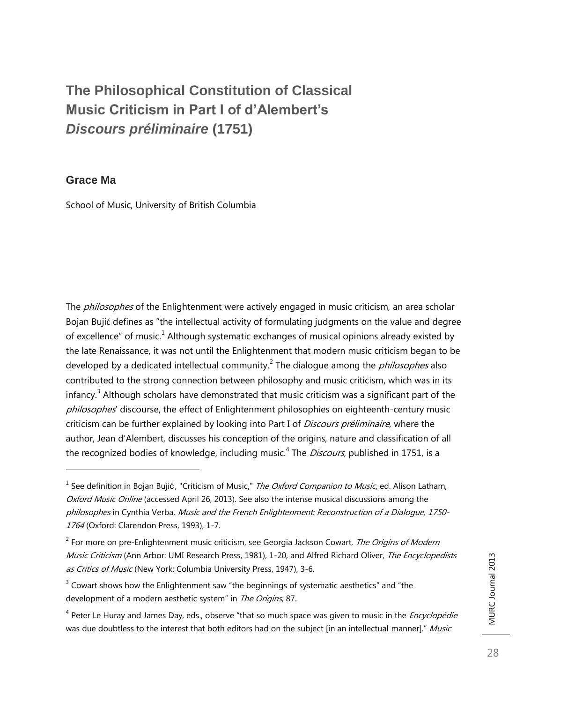## **The Philosophical Constitution of Classical Music Criticism in Part I of d'Alembert's**  *Discours préliminaire* **(1751)**

### **Grace Ma**

l

School of Music, University of British Columbia

The *philosophes* of the Enlightenment were actively engaged in music criticism, an area scholar Bojan Bujić defines as "the intellectual activity of formulating judgments on the value and degree of excellence" of music.<sup>1</sup> Although systematic exchanges of musical opinions already existed by the late Renaissance, it was not until the Enlightenment that modern music criticism began to be developed by a dedicated intellectual community.<sup>2</sup> The dialogue among the *philosophes* also contributed to the strong connection between philosophy and music criticism, which was in its infancy. $^3$  Although scholars have demonstrated that music criticism was a significant part of the philosophes' discourse, the effect of Enlightenment philosophies on eighteenth-century music criticism can be further explained by looking into Part I of *Discours préliminaire*, where the author, Jean d'Alembert, discusses his conception of the origins, nature and classification of all the recognized bodies of knowledge, including music.<sup>4</sup> The *Discours*, published in 1751, is a

 $^{\rm 1}$  See definition in Bojan Bujić, "Criticism of Music," *The Oxford Companion to Music*, ed. Alison Latham, Oxford Music Online (accessed April 26, 2013). See also the intense musical discussions among the philosophes in Cynthia Verba, Music and the French Enlightenment: Reconstruction of a Dialogue, 1750- 1764 (Oxford: Clarendon Press, 1993), 1-7.

 $^2$  For more on pre-Enlightenment music criticism, see Georgia Jackson Cowart, *The Origins of Modern* Music Criticism (Ann Arbor: UMI Research Press, 1981), 1-20, and Alfred Richard Oliver, The Encyclopedists as Critics of Music (New York: Columbia University Press, 1947), 3-6.

 $3$  Cowart shows how the Enlightenment saw "the beginnings of systematic aesthetics" and "the development of a modern aesthetic system" in The Origins, 87.

<sup>&</sup>lt;sup>4</sup> Peter Le Huray and James Day, eds., observe "that so much space was given to music in the *Encyclopédie* was due doubtless to the interest that both editors had on the subject [in an intellectual manner]." Music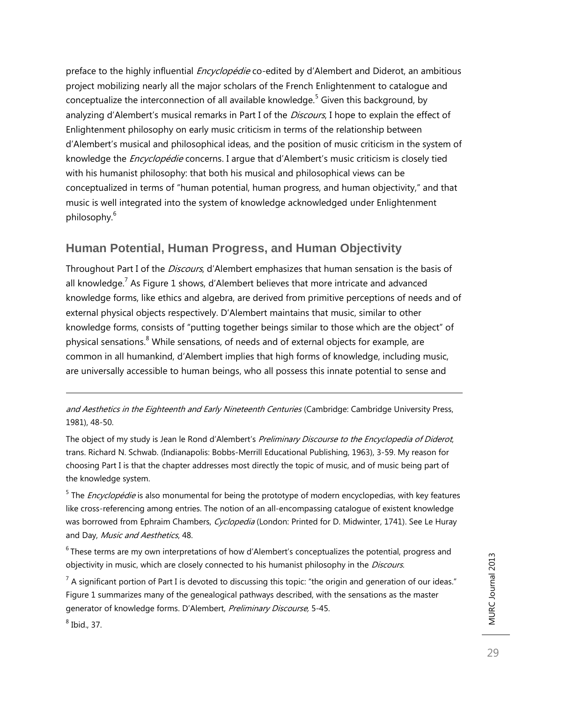preface to the highly influential *Encyclopédie* co-edited by d'Alembert and Diderot, an ambitious project mobilizing nearly all the major scholars of the French Enlightenment to catalogue and conceptualize the interconnection of all available knowledge.<sup>5</sup> Given this background, by analyzing d'Alembert's musical remarks in Part I of the Discours, I hope to explain the effect of Enlightenment philosophy on early music criticism in terms of the relationship between d'Alembert's musical and philosophical ideas, and the position of music criticism in the system of knowledge the *Encyclopédie* concerns. I argue that d'Alembert's music criticism is closely tied with his humanist philosophy: that both his musical and philosophical views can be conceptualized in terms of "human potential, human progress, and human objectivity," and that music is well integrated into the system of knowledge acknowledged under Enlightenment philosophy. 6

### **Human Potential, Human Progress, and Human Objectivity**

Throughout Part I of the *Discours*, d'Alembert emphasizes that human sensation is the basis of all knowledge.<sup>7</sup> As Figure 1 shows, d'Alembert believes that more intricate and advanced knowledge forms, like ethics and algebra, are derived from primitive perceptions of needs and of external physical objects respectively. D'Alembert maintains that music, similar to other knowledge forms, consists of "putting together beings similar to those which are the object" of physical sensations.<sup>8</sup> While sensations, of needs and of external objects for example, are common in all humankind, d'Alembert implies that high forms of knowledge, including music, are universally accessible to human beings, who all possess this innate potential to sense and

and Aesthetics in the Eighteenth and Early Nineteenth Centuries (Cambridge: Cambridge University Press, 1981), 48-50.

The object of my study is Jean le Rond d'Alembert's Preliminary Discourse to the Encyclopedia of Diderot, trans. Richard N. Schwab. (Indianapolis: Bobbs-Merrill Educational Publishing, 1963), 3-59. My reason for choosing Part I is that the chapter addresses most directly the topic of music, and of music being part of the knowledge system.

<sup>5</sup> The *Encyclopédie* is also monumental for being the prototype of modern encyclopedias, with key features like cross-referencing among entries. The notion of an all-encompassing catalogue of existent knowledge was borrowed from Ephraim Chambers, Cyclopedia (London: Printed for D. Midwinter, 1741). See Le Huray and Day, Music and Aesthetics, 48.

 $^6$  These terms are my own interpretations of how d'Alembert's conceptualizes the potential, progress and objectivity in music, which are closely connected to his humanist philosophy in the Discours.

 $^7$  A significant portion of Part I is devoted to discussing this topic: "the origin and generation of our ideas." Figure 1 summarizes many of the genealogical pathways described, with the sensations as the master generator of knowledge forms. D'Alembert, Preliminary Discourse, 5-45.

 $<sup>8</sup>$  Ibid., 37.</sup>

l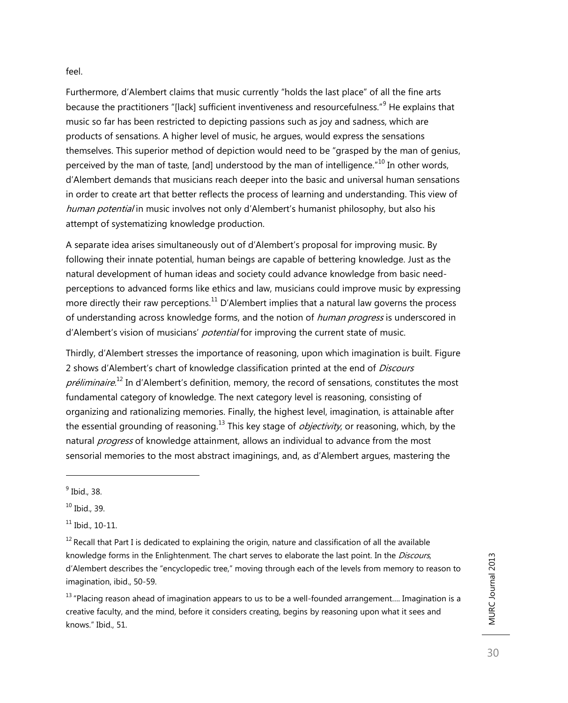#### feel.

Furthermore, d'Alembert claims that music currently "holds the last place" of all the fine arts because the practitioners "[lack] sufficient inventiveness and resourcefulness."<sup>9</sup> He explains that music so far has been restricted to depicting passions such as joy and sadness, which are products of sensations. A higher level of music, he argues, would express the sensations themselves. This superior method of depiction would need to be "grasped by the man of genius, perceived by the man of taste, [and] understood by the man of intelligence.<sup>"10</sup> In other words, d'Alembert demands that musicians reach deeper into the basic and universal human sensations in order to create art that better reflects the process of learning and understanding. This view of human potential in music involves not only d'Alembert's humanist philosophy, but also his attempt of systematizing knowledge production.

A separate idea arises simultaneously out of d'Alembert's proposal for improving music. By following their innate potential, human beings are capable of bettering knowledge. Just as the natural development of human ideas and society could advance knowledge from basic needperceptions to advanced forms like ethics and law, musicians could improve music by expressing more directly their raw perceptions.<sup>11</sup> D'Alembert implies that a natural law governs the process of understanding across knowledge forms, and the notion of *human progress* is underscored in d'Alembert's vision of musicians' potential for improving the current state of music.

Thirdly, d'Alembert stresses the importance of reasoning, upon which imagination is built. Figure 2 shows d'Alembert's chart of knowledge classification printed at the end of Discours préliminaire.<sup>12</sup> In d'Alembert's definition, memory, the record of sensations, constitutes the most fundamental category of knowledge. The next category level is reasoning, consisting of organizing and rationalizing memories. Finally, the highest level, imagination, is attainable after the essential grounding of reasoning.<sup>13</sup> This key stage of *objectivity*, or reasoning, which, by the natural *progress* of knowledge attainment, allows an individual to advance from the most sensorial memories to the most abstract imaginings, and, as d'Alembert argues, mastering the

l

<sup>&</sup>lt;sup>9</sup> Ibid., 38.

 $10$  Ibid., 39.

 $11$  Ibid., 10-11.

 $12$  Recall that Part I is dedicated to explaining the origin, nature and classification of all the available knowledge forms in the Enlightenment. The chart serves to elaborate the last point. In the *Discours*, d'Alembert describes the "encyclopedic tree," moving through each of the levels from memory to reason to imagination, ibid., 50-59.

 $13$  "Placing reason ahead of imagination appears to us to be a well-founded arrangement.... Imagination is a creative faculty, and the mind, before it considers creating, begins by reasoning upon what it sees and knows." Ibid., 51.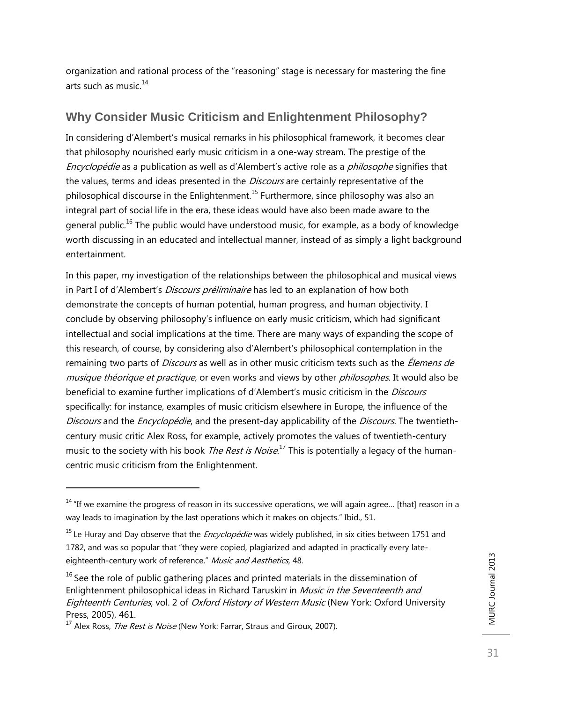organization and rational process of the "reasoning" stage is necessary for mastering the fine arts such as music. 14

## **Why Consider Music Criticism and Enlightenment Philosophy?**

In considering d'Alembert's musical remarks in his philosophical framework, it becomes clear that philosophy nourished early music criticism in a one-way stream. The prestige of the Encyclopédie as a publication as well as d'Alembert's active role as a philosophe signifies that the values, terms and ideas presented in the *Discours* are certainly representative of the philosophical discourse in the Enlightenment.<sup>15</sup> Furthermore, since philosophy was also an integral part of social life in the era, these ideas would have also been made aware to the general public.<sup>16</sup> The public would have understood music, for example, as a body of knowledge worth discussing in an educated and intellectual manner, instead of as simply a light background entertainment.

In this paper, my investigation of the relationships between the philosophical and musical views in Part I of d'Alembert's *Discours préliminaire* has led to an explanation of how both demonstrate the concepts of human potential, human progress, and human objectivity. I conclude by observing philosophy's influence on early music criticism, which had significant intellectual and social implications at the time. There are many ways of expanding the scope of this research, of course, by considering also d'Alembert's philosophical contemplation in the remaining two parts of *Discours* as well as in other music criticism texts such as the *Élemens de* musique théorique et practique, or even works and views by other philosophes. It would also be beneficial to examine further implications of d'Alembert's music criticism in the Discours specifically: for instance, examples of music criticism elsewhere in Europe, the influence of the Discours and the Encyclopédie, and the present-day applicability of the Discours. The twentiethcentury music critic Alex Ross, for example, actively promotes the values of twentieth-century music to the society with his book *The Rest is Noise*.<sup>17</sup> This is potentially a legacy of the humancentric music criticism from the Enlightenment.

l

 $14$  "If we examine the progress of reason in its successive operations, we will again agree... [that] reason in a way leads to imagination by the last operations which it makes on objects." Ibid., 51.

<sup>&</sup>lt;sup>15</sup> Le Huray and Day observe that the *Encyclopédie* was widely published, in six cities between 1751 and 1782, and was so popular that "they were copied, plagiarized and adapted in practically every lateeighteenth-century work of reference." Music and Aesthetics, 48.

 $16$  See the role of public gathering places and printed materials in the dissemination of Enlightenment philosophical ideas in Richard Taruskin in Music in the Seventeenth and Eighteenth Centuries, vol. 2 of Oxford History of Western Music (New York: Oxford University Press, 2005), 461.

<sup>&</sup>lt;sup>17</sup> Alex Ross, *The Rest is Noise* (New York: Farrar, Straus and Giroux, 2007).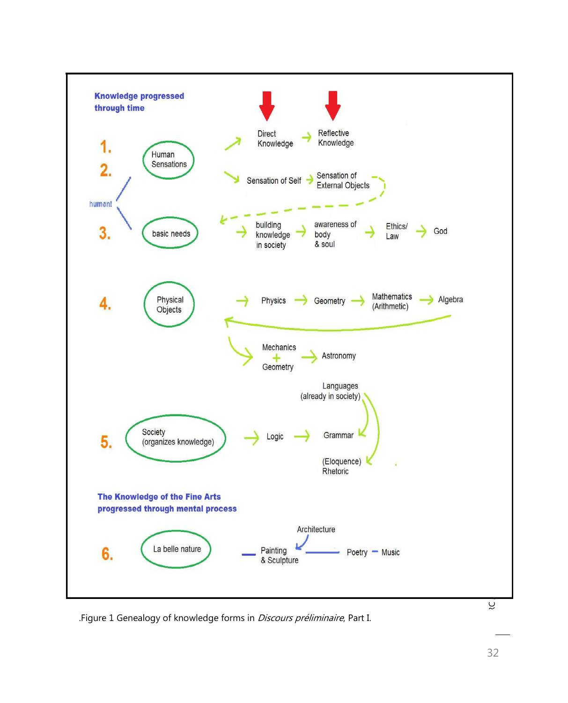

.Figure 1 Genealogy of knowledge forms in *Discours préliminaire*, Part I.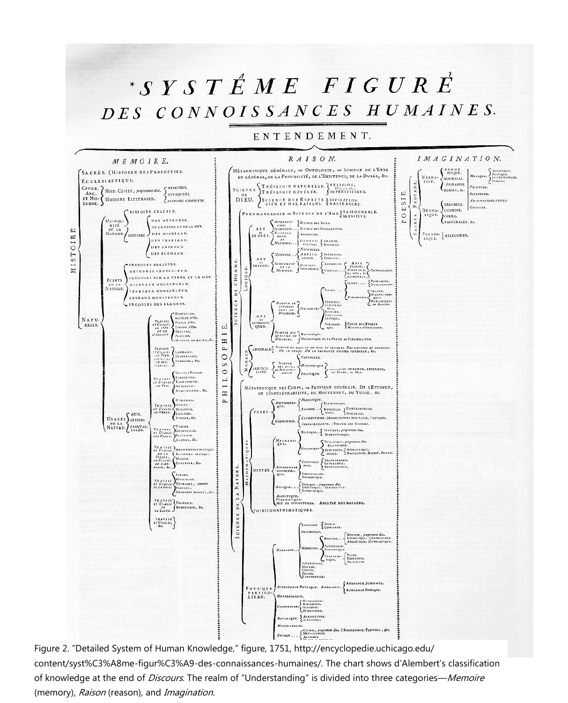# $S Y S T \nL E M E F I G U R E$ DES CONNOISSANCES HUMAINES.

#### ENTENDEMENT.



Figure 2. "Detailed System of Human Knowledge," figure, 1751, http://encyclopedie.uchicago.edu/ content/syst%C3%A8me-figur%C3%A9-des-connaissances-humaines/. The chart shows d'Alembert's classification of knowledge at the end of Discours. The realm of "Understanding" is divided into three categories—Memoire (memory), Raison (reason), and Imagination.